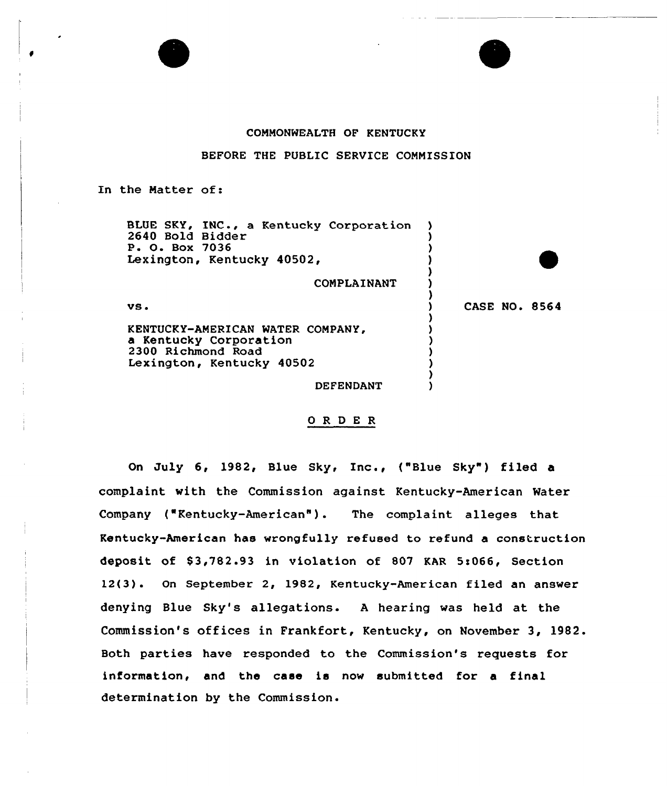## COMMONWEALTH OF KENTUCKY

BEFORE THE PUBLIC SERVICE COMMISSION

In the Matter of:

BLUE SKY, INC., a Kentucky Corporation 2640 Bold Bidder<br>P. O. Box 7036 Lexington, Kentucky 40502, COMPLAINANT vs <sup>~</sup> KENTUCKY-AMERICAN WATER COMPANY, a Kentucky Corporation 2300 Richmond Road Lexington, Kentucky 40502 DEFENDANT )  $\bullet$ ) ) ) ) CASE NO <sup>~</sup> 8564 ) ) ) ) ) ) )

## 0 R <sup>D</sup> E R

On July 6< 1982, Blue Sky, Inc., ("Blue Sky") filed <sup>a</sup> complaint with the Commission against Kentucky-American Water Company ("Kentucky-American" ). The complaint alleges that Kentucky-American has wrongfully refused to refund a construction deposit of \$3,782.93 in violation of 807 KAR 5:066, Section 12(3). On September 2, 1982, Kentucky-American filed an answer denying Blue Sky's allegations. <sup>A</sup> hearing was held at the Commission's offices in Frankfort, Kentucky, on November 3, 1982. Both parties have responded to the Commission's requests for information, and the case is now submitted for a final determination by the Commission.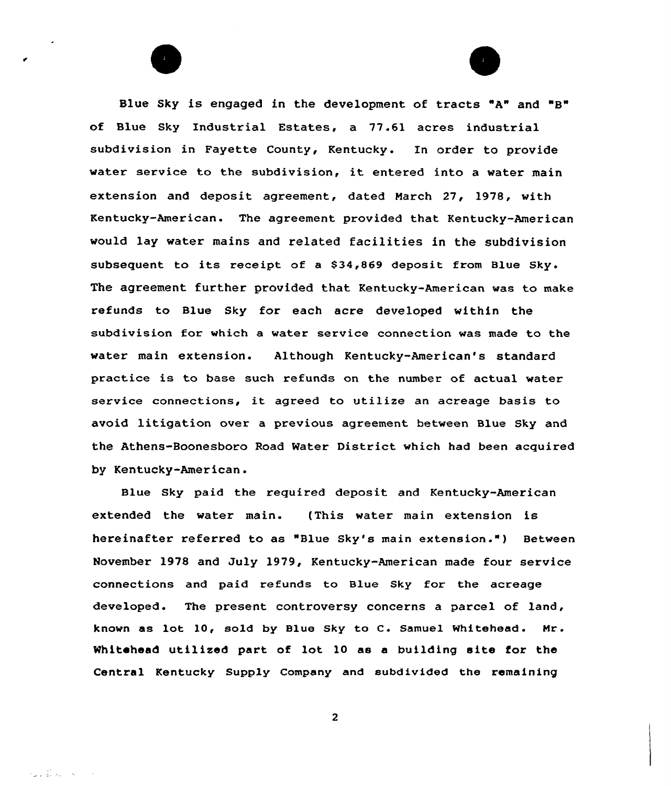Blue Sky is engaged in the development of tracts "A" and "B" of Blue Sky Industrial Estates, a 77.61 acres industrial subdivision in Fayette County, Kentucky. En order to provide water service to the subdivision, it entered into <sup>a</sup> water main extension and deposit agreement, dated March 27, 1978, with Kentucky-American. The agreement provided that Kentucky-American would lay water mains and related facilities in the subdivision subsequent to its receipt of <sup>a</sup> \$34,869 deposit from Blue Sky. The agreement further provided that Kentucky-American was to make refunds to Blue Sky for each acre developed within the subdivision for which a water service connection was made to the water main extension. Although Kentucky-American's standard practice is to base such refunds on the number of actual water service connections, it agreed to utilize an acreage basis to avoid litigation over a previous agreement between Blue Sky and the Athens-Boonesboro Road Water District which had been acquired by Kentucky-American.

Blue Sky paid the required deposit and Kentucky-American extended the water main. (This water main extension is hereinafter referred to as "Blue Sky's main extension.") Between November 1978 and July 1979, Kentucky-American made four service connections and paid refunds to Blue Sky for the acreage developed. The present controversy concerns a parcel of land, known as lot 10, sold by Blue Sky to C. Samuel Whitehead. Mr. Whitehead utilized part of lot 10 as a building site for the Central Kentucky Supply Company and subdivided the remaining

 $\overline{c}$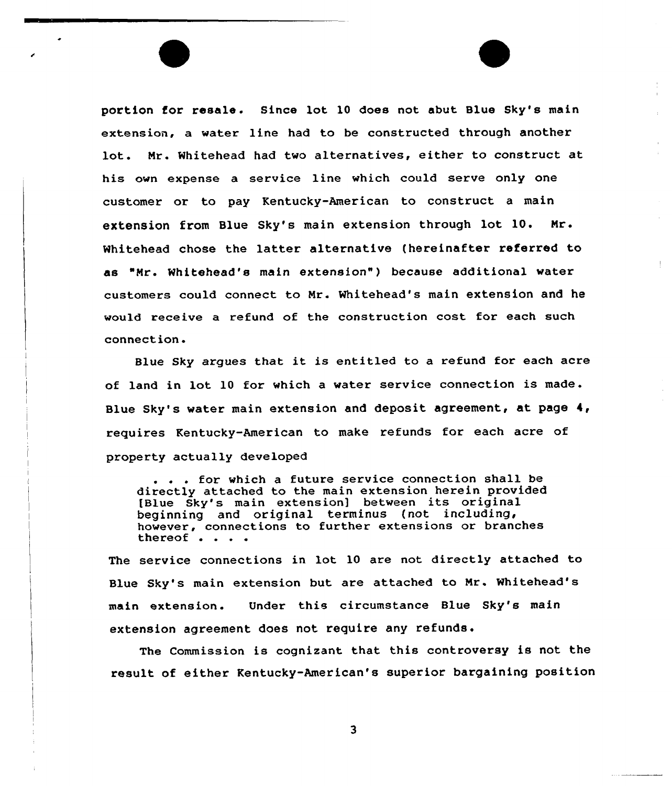portion for resale. Since lot 10 does not abut Blue Sky's main extension, a water line had to be constructed through another lot. Nr. Whitehead had two alternatives, either to construct at his own expense a service line which could serve only one customer or to pay Kentucky-American to construct a main extension from Blue Sky's main extension through lot 10. Nr. Whitehead chose the latter alternative (hereinafter referred to as "Nr. Whitehead's main extension") because additional water customers could connect to Nr. Whitehead's main extension and he would receive a refund of the construction cost for each such connection.

Blue Sky argues that it is entitled to <sup>a</sup> refund for each acre of land in lot <sup>10</sup> for which <sup>a</sup> water service connection is made . Blue Sky's water main extension and deposit agreement, at page  $4$ , requires Kentucky-American to make refunds for each acre of property actually developed

... for which a future service connection shall be directly attached to the main extension herein provided [Blue Sky's main extensionl between its original beginning and original terminus (not including, however, connections to further extensions or branches thereof . . . .

The service connections in lot 10 are not directly attached to Blue Sky's main extension but are attached to Nr. Whitehead's main extension. Under this circumstance Blue Sky's main extension agreement does not require any refunds.

The Commission is cognizant that this controversy is not the result of either Kentucky-American's superior bargaining position

 $\overline{\mathbf{3}}$